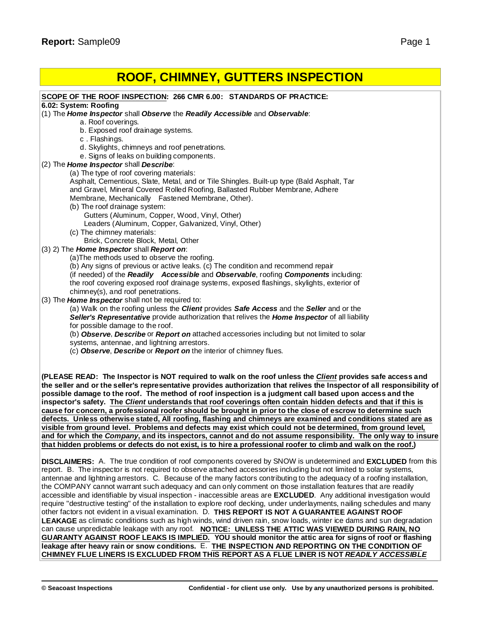# **ROOF, CHIMNEY, GUTTERS INSPECTION**

require "destructive testing" of the installation to explore roof decking, under underlayments, nailing schedules and many other factors not evident in a visual examination. D. **THIS REPORT IS NOT A GUARANTEE AGAINST ROOF LEAKAGE** as climatic conditions such as high winds, wind driven rain, snow loads, winter ice dams and sun degradation can cause unpredictable leakage with any roof. **NOTICE: UNLESS THE ATTIC WAS VIEWED DURING RAIN, NO** GUARANTY AGAINST ROOF LEAKS IS IMPLIED. YOU should monitor the attic area for signs of roof or flashing **leakage after heavy rain or snow conditions.** E. **THE INSPECTION AND REPORTING ON THE CONDITION OF CHIMNEY FLUE LINERS IS EXCLUDED FROM THIS REPORT AS A FLUE LINER IS NOT** *READILY ACCESSIBLE*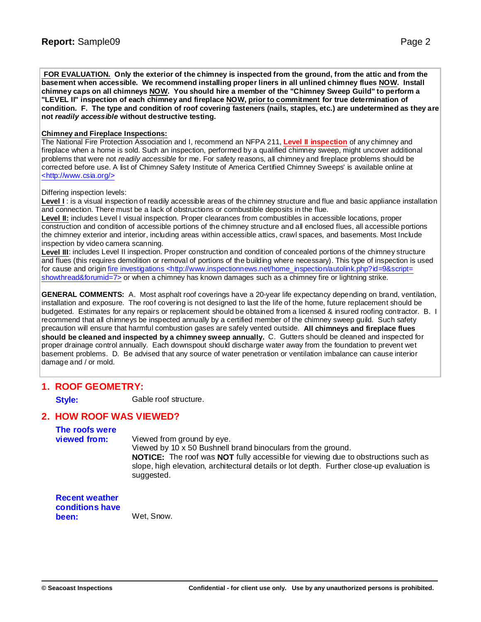FOR EVALUATION. Only the exterior of the chimney is inspected from the ground, from the attic and from the **basement when accessible. We recommend installing proper liners in all unlined chimney flues NOW. Install** chimney caps on all chimneys NOW. You should hire a member of the "Chimney Sweep Guild" to perform a **"LEVEL II" inspection of each chimney and fireplace NOW, prior to commitment for true determination of** condition. F. The type and condition of roof covering fasteners (nails, staples, etc.) are undetermined as they are **not** *readily accessible* **without destructive testing.**

#### **Chimney and Fireplace Inspections:**

The National Fire Protection Association and I, recommend an NFPA 211, **Level II inspection** of any chimney and fireplace when a home is sold. Such an inspection, performed by a qualified chimney sweep, might uncover additional problems that were not *readily accessible* for me. For safety reasons, all chimney and fireplace problems should be corrected before use. A list of Chimney Safety Institute of America Certified Chimney Sweeps' is available online at <h[ttp://w](http://www.csia.org/>)[ww.csia.org/>](www.csia.org/>)

Differing inspection levels:

Level I: is a visual inspection of readily accessible areas of the chimney structure and flue and basic appliance installation and connection. There must be a lack of obstructions or combustible deposits in the flue.

**Level II:** includes Level I visual inspection. Proper clearances from combustibles in accessible locations, proper construction and condition of accessible portions of the chimney structure and all enclosed flues, all accessible portions the chimney exterior and interior, including areas within accessible attics, crawl spaces, and basements. Most Include inspection by video camera scanning.

**Level III**: includes Level II inspection. Proper construction and condition of concealed portions of the chimney structure and flues (this requires demolition or removal of portions of the building where necessary). This type of inspection is used for cause and origin fire investigations <[http://w](http://www.inspectionnews.net/home_inspection/autolink.php?id=9&script=)[ww.inspectionnews.net/home\\_inspection/autolink.php?id=9&script=](www.inspectionnews.net/home_inspection/autolink.php?id=9&script=) showthread&forumid=7> or when a chimney has known damages such as a chimney fire or lightning strike.

**GENERAL COMMENTS:** A. Most asphalt roof coverings have a 20-year life expectancy depending on brand, ventilation, installation and exposure. The roof covering is not designed to last the life of the home, future replacement should be budgeted. Estimates for any repairs or replacement should be obtained from a licensed & insured roofing contractor. B. I recommend that all chimneys be inspected annually by a certified member of the chimney sweep guild. Such safety precaution will ensure that harmful combustion gases are safely vented outside. **All chimneys and fireplace flues should be cleaned and inspected by a chimney sweep annually.** C. Gutters should be cleaned and inspected for proper drainage control annually. Each downspout should discharge water away from the foundation to prevent wet basement problems. D. Be advised that any source of water penetration or ventilation imbalance can cause interior damage and / or mold.

### **1. ROOF GEOMETRY:**

**Style:** Gable roof structure.

### **2. HOW ROOF WAS VIEWED?**

**The roofs were viewed from:** Viewed from ground by eye. Viewed by 10 x 50 Bushnell brand binoculars from the ground. **NOTICE:** The roof was **NOT** fully accessible for viewing due to obstructions such as slope, high elevation, architectural details or lot depth. Further close-up evaluation is suggested.

**Recent weather conditions have been:** Wet, Snow.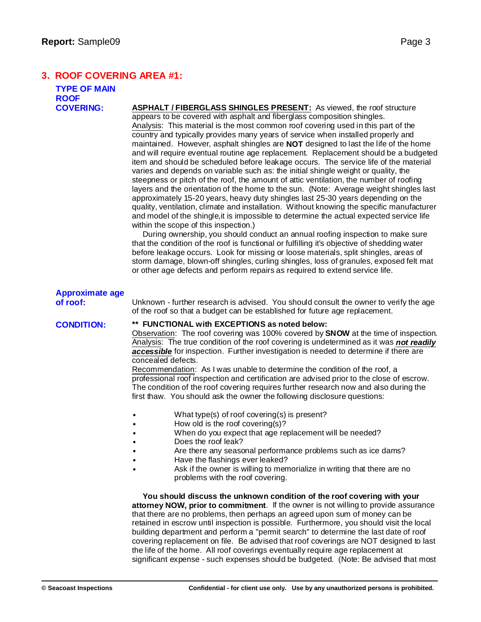# **3. ROOF COVERING AREA #1:**

| <b>TYPE OF MAIN</b>    |                                                                                                                                                                                                                                                                                                                                                                                                                                                                                                                                                                                                                                                                                                                                                                                                                                                                                                                                                                                                                                                                                                                                                                                                                                                                                                                                                                                                                                                                                                                                                                                                                                                   |  |  |
|------------------------|---------------------------------------------------------------------------------------------------------------------------------------------------------------------------------------------------------------------------------------------------------------------------------------------------------------------------------------------------------------------------------------------------------------------------------------------------------------------------------------------------------------------------------------------------------------------------------------------------------------------------------------------------------------------------------------------------------------------------------------------------------------------------------------------------------------------------------------------------------------------------------------------------------------------------------------------------------------------------------------------------------------------------------------------------------------------------------------------------------------------------------------------------------------------------------------------------------------------------------------------------------------------------------------------------------------------------------------------------------------------------------------------------------------------------------------------------------------------------------------------------------------------------------------------------------------------------------------------------------------------------------------------------|--|--|
| <b>ROOF</b>            |                                                                                                                                                                                                                                                                                                                                                                                                                                                                                                                                                                                                                                                                                                                                                                                                                                                                                                                                                                                                                                                                                                                                                                                                                                                                                                                                                                                                                                                                                                                                                                                                                                                   |  |  |
| <b>COVERING:</b>       | ASPHALT / FIBERGLASS SHINGLES PRESENT: As viewed, the roof structure<br>appears to be covered with asphalt and fiberglass composition shingles.<br>Analysis: This material is the most common roof covering used in this part of the<br>country and typically provides many years of service when installed properly and<br>maintained. However, asphalt shingles are NOT designed to last the life of the home<br>and will require eventual routine age replacement. Replacement should be a budgeted<br>item and should be scheduled before leakage occurs. The service life of the material<br>varies and depends on variable such as: the initial shingle weight or quality, the<br>steepness or pitch of the roof, the amount of attic ventilation, the number of roofing<br>layers and the orientation of the home to the sun. (Note: Average weight shingles last<br>approximately 15-20 years, heavy duty shingles last 25-30 years depending on the<br>quality, ventilation, climate and installation. Without knowing the specific manufacturer<br>and model of the shingle, it is impossible to determine the actual expected service life<br>within the scope of this inspection.)<br>During ownership, you should conduct an annual roofing inspection to make sure<br>that the condition of the roof is functional or fulfilling it's objective of shedding water<br>before leakage occurs. Look for missing or loose materials, split shingles, areas of<br>storm damage, blown-off shingles, curling shingles, loss of granules, exposed felt mat<br>or other age defects and perform repairs as required to extend service life. |  |  |
| <b>Approximate age</b> |                                                                                                                                                                                                                                                                                                                                                                                                                                                                                                                                                                                                                                                                                                                                                                                                                                                                                                                                                                                                                                                                                                                                                                                                                                                                                                                                                                                                                                                                                                                                                                                                                                                   |  |  |
| of roof:               | Unknown - further research is advised. You should consult the owner to verify the age<br>of the roof so that a budget can be established for future age replacement.                                                                                                                                                                                                                                                                                                                                                                                                                                                                                                                                                                                                                                                                                                                                                                                                                                                                                                                                                                                                                                                                                                                                                                                                                                                                                                                                                                                                                                                                              |  |  |
| <b>CONDITION:</b>      | ** FUNCTIONAL with EXCEPTIONS as noted below:<br>Observation: The roof covering was 100% covered by SNOW at the time of inspection.<br>Analysis: The true condition of the roof covering is undetermined as it was not readily<br>accessible for inspection. Further investigation is needed to determine if there are<br>concealed defects.<br>Recommendation: As I was unable to determine the condition of the roof, a<br>professional roof inspection and certification are advised prior to the close of escrow.<br>The condition of the roof covering requires further research now and also during the<br>first thaw. You should ask the owner the following disclosure questions:<br>What type(s) of roof covering(s) is present?<br>How old is the roof covering(s)?                                                                                                                                                                                                                                                                                                                                                                                                                                                                                                                                                                                                                                                                                                                                                                                                                                                                     |  |  |
|                        | When do you expect that age replacement will be needed?<br>Does the roof leak?<br>Are there any seasonal performance problems such as ice dams?                                                                                                                                                                                                                                                                                                                                                                                                                                                                                                                                                                                                                                                                                                                                                                                                                                                                                                                                                                                                                                                                                                                                                                                                                                                                                                                                                                                                                                                                                                   |  |  |
|                        | Have the flashings ever leaked?                                                                                                                                                                                                                                                                                                                                                                                                                                                                                                                                                                                                                                                                                                                                                                                                                                                                                                                                                                                                                                                                                                                                                                                                                                                                                                                                                                                                                                                                                                                                                                                                                   |  |  |
|                        | Ask if the owner is willing to memorialize in writing that there are no<br>problems with the roof covering.                                                                                                                                                                                                                                                                                                                                                                                                                                                                                                                                                                                                                                                                                                                                                                                                                                                                                                                                                                                                                                                                                                                                                                                                                                                                                                                                                                                                                                                                                                                                       |  |  |
|                        | You should discuss the unknown condition of the roof covering with your<br>attorney NOW, prior to commitment. If the owner is not willing to provide assurance<br>that there are no problems, then perhaps an agreed upon sum of money can be<br>retained in escrow until inspection is possible. Furthermore, you should visit the local<br>building department and perform a "permit search" to determine the last date of roof                                                                                                                                                                                                                                                                                                                                                                                                                                                                                                                                                                                                                                                                                                                                                                                                                                                                                                                                                                                                                                                                                                                                                                                                                 |  |  |

covering replacement on file. Be advised that roof coverings are NOT designed to last

significant expense - such expenses should be budgeted. (Note: Be advised that most

the life of the home. All roof coverings eventually require age replacement at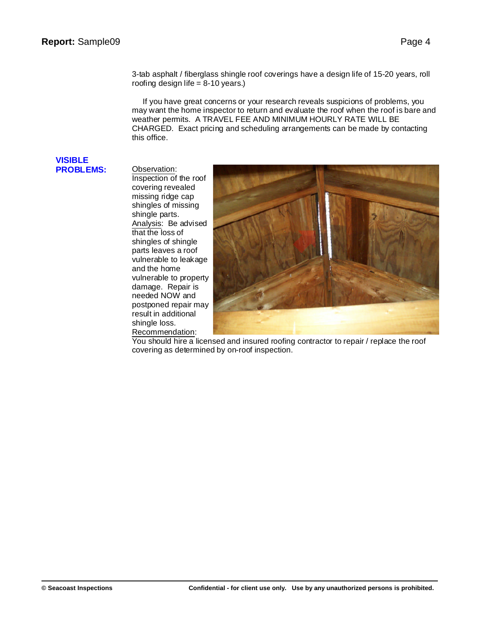3-tab asphalt / fiberglass shingle roof coverings have a design life of 15-20 years, roll roofing design life  $= 8-10$  years.)

If you have great concerns or your research reveals suspicions of problems, you may want the home inspector to return and evaluate the roof when the roof is bare and weather permits. A TRAVEL FEE AND MINIMUM HOURLY RATE WILL BE CHARGED. Exact pricing and scheduling arrangements can be made by contacting this office.

#### **VISIBLE PROBLEMS:** Observation:

Inspection of the roof covering revealed missing ridge cap shingles of missing shingle parts. Analysis: Be advised that the loss of shingles of shingle parts leaves a roof vulnerable to leakage and the home vulnerable to property damage. Repair is needed NOW and postponed repair may result in additional shingle loss. Recommendation:



You should hire a licensed and insured roofing contractor to repair / replace the roof covering as determined by on-roof inspection.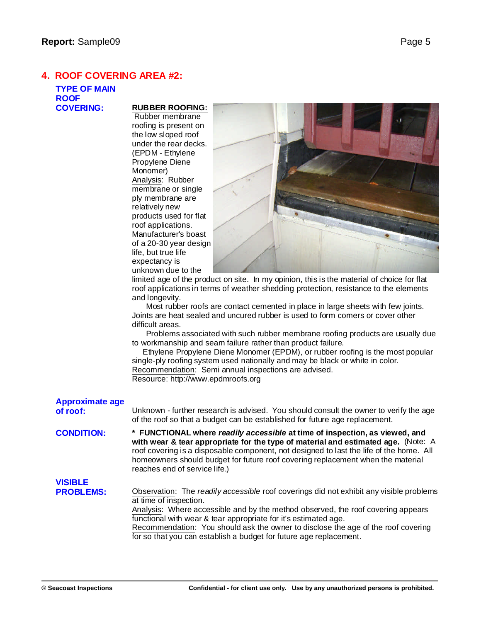# **4. ROOF COVERING AREA #2:**

# **TYPE OF MAIN ROOF**

## **COVERING: RUBBER ROOFING:**

Rubber membrane roofing is present on the low sloped roof under the rear decks. (EPDM - Ethylene Propylene Diene Monomer) Analysis: Rubber membrane or single ply membrane are relatively new products used for flat roof applications. Manufacturer's boast of a 20-30 year design life, but true life expectancy is unknown due to the



limited age of the product on site. In my opinion, this is the material of choice for flat roof applications in terms of weather shedding protection, resistance to the elements and longevity.

Most rubber roofs are contact cemented in place in large sheets with few joints. Joints are heat sealed and uncured rubber is used to form corners or cover other difficult areas.

Problems associated with such rubber membrane roofing products are usually due to workmanship and seam failure rather than product failure.

Ethylene Propylene Diene Monomer (EPDM), or rubber roofing is the most popular single-ply roofing system used nationally and may be black or white in color. Recommendation: Semi annual inspections are advised. Resource: h[ttp://w](http://www.epdmroofs.org)[ww.epdmroofs.org](www.epdmroofs.org)

| <b>Approximate age</b><br>of roof: | Unknown - further research is advised. You should consult the owner to verify the age<br>of the roof so that a budget can be established for future age replacement.                                                                                                                                                                                                                                                                |
|------------------------------------|-------------------------------------------------------------------------------------------------------------------------------------------------------------------------------------------------------------------------------------------------------------------------------------------------------------------------------------------------------------------------------------------------------------------------------------|
| <b>CONDITION:</b>                  | * FUNCTIONAL where readily accessible at time of inspection, as viewed, and<br>with wear & tear appropriate for the type of material and estimated age. (Note: A<br>roof covering is a disposable component, not designed to last the life of the home. All<br>homeowners should budget for future roof covering replacement when the material<br>reaches end of service life.)                                                     |
| <b>VISIBLE</b>                     |                                                                                                                                                                                                                                                                                                                                                                                                                                     |
| <b>PROBLEMS:</b>                   | Observation: The readily accessible roof coverings did not exhibit any visible problems<br>at time of inspection.<br>Analysis: Where accessible and by the method observed, the roof covering appears<br>functional with wear & tear appropriate for it's estimated age.<br>Recommendation: You should ask the owner to disclose the age of the roof covering<br>for so that you can establish a budget for future age replacement. |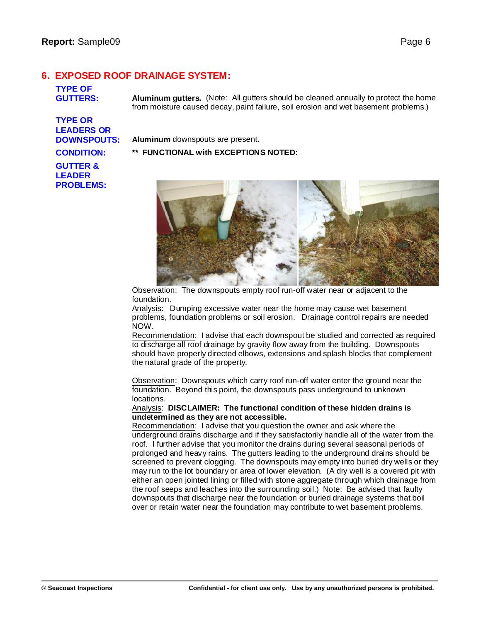# **6. EXPOSED ROOF DRAINAGE SYSTEM:**

# **TYPE OF**

**GUTTERS: Aluminum gutters.** (Note: All gutters should be cleaned annually to protect the home from moisture caused decay, paint failure, soil erosion and wet basement problems.)

**TYPE OR LEADERS OR**

**DOWNSPOUTS: Aluminum** downspouts are present.

#### **CONDITION: \*\* FUNCTIONAL with EXCEPTIONS NOTED:**

# **GUTTER & LEADER PROBLEMS:**



Observation: The downspouts empty roof run-off water near or adjacent to the foundation.

Analysis: Dumping excessive water near the home may cause wet basement problems, foundation problems or soil erosion. Drainage control repairs are needed NOW.

Recommendation: I advise that each downspout be studied and corrected as required to discharge all roof drainage by gravity flow away from the building. Downspouts should have properly directed elbows, extensions and splash blocks that complement the natural grade of the property.

Observation: Downspouts which carry roof run-off water enter the ground near the foundation. Beyond this point, the downspouts pass underground to unknown locations.

#### Analysis: **DISCLAIMER: The functional condition of these hidden drains is undetermined as they are not accessible.**

Recommendation: I advise that you question the owner and ask where the underground drains discharge and if they satisfactorily handle all of the water from the roof. I further advise that you monitor the drains during several seasonal periods of prolonged and heavy rains. The gutters leading to the underground drains should be screened to prevent clogging. The downspouts may empty into buried dry wells or they may run to the lot boundary or area of lower elevation. (A dry well is a covered pit with either an open jointed lining or filled with stone aggregate through which drainage from the roof seeps and leaches into the surrounding soil.) Note: Be advised that faulty downspouts that discharge near the foundation or buried drainage systems that boil over or retain water near the foundation may contribute to wet basement problems.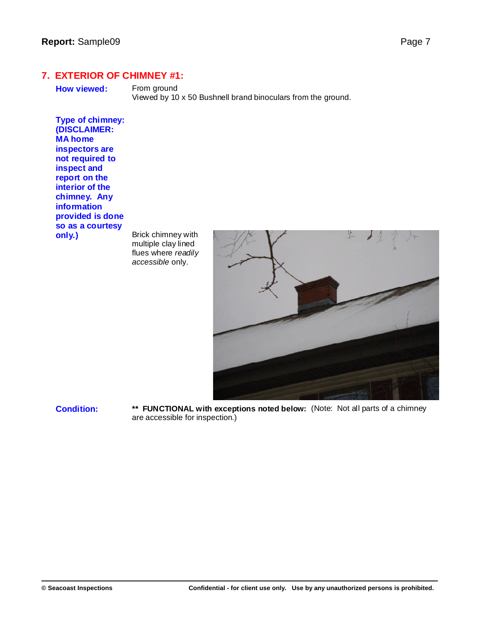**7. EXTERIOR OF CHIMNEY #1:**

**How viewed:** From ground

Viewed by 10 x 50 Bushnell brand binoculars from the ground.

**Type of chimney: (DISCLAIMER: MA home inspectors are not required to inspect and report on the interior of the chimney. Any information provided is done so as a courtesy**

**only.)** Brick chimney with multiple clay lined flues where *readily accessible* only.



**Condition: \*\* FUNCTIONAL with exceptions noted below:** (Note: Not all parts of a chimney are accessible for inspection.)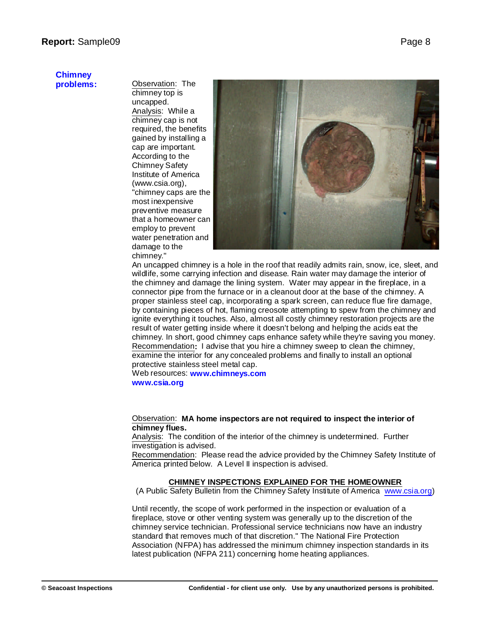# **Chimney**

**problems:** Observation: The chimney top is uncapped. Analysis: While a chimney cap is not required, the benefits gained by installing a cap are important. According to the Chimney Safety Institute of America (w[ww.csia.org\),](www.csia.org),) "chimney caps are the most inexpensive preventive measure that a homeowner can employ to prevent water penetration and damage to the chimney."



An uncapped chimney is a hole in the roof that readily admits rain, snow, ice, sleet, and wildlife, some carrying infection and disease. Rain water may damage the interior of the chimney and damage the lining system. Water may appear in the fireplace, in a connector pipe from the furnace or in a cleanout door at the base of the chimney. A proper stainless steel cap, incorporating a spark screen, can reduce flue fire damage, by containing pieces of hot, flaming creosote attempting to spew from the chimney and ignite everything it touches. Also, almost all costly chimney restoration projects are the result of water getting inside where it doesn't belong and helping the acids eat the chimney. In short, good chimney caps enhance safety while they're saving you money. Recommendation**:** I advise that you hire a chimney sweep to clean the chimney, examine the interior for any concealed problems and finally to install an optional protective stainless steel metal cap.

Web resources: **<www.chimneys.com>**

**w[ww.csia.org](www.csia.org)**

#### Observation: **MA home inspectors are not required to inspect the interior of chimney flues.**

Analysis: The condition of the interior of the chimney is undetermined. Further investigation is advised.

Recommendation: Please read the advice provided by the Chimney Safety Institute of America printed below. A Level II inspection is advised.

#### **CHIMNEY INSPECTIONS EXPLAINED FOR THE HOMEOWNER**

(A Public Safety Bulletin from the Chimney Safety Institute of America w[ww.csia.org\)](www.csia.org))

Until recently, the scope of work performed in the inspection or evaluation of a fireplace, stove or other venting system was generally up to the discretion of the chimney service technician. Professional service technicians now have an industry standard that removes much of that discretion." The National Fire Protection Association (NFPA) has addressed the minimum chimney inspection standards in its latest publication (NFPA 211) concerning home heating appliances.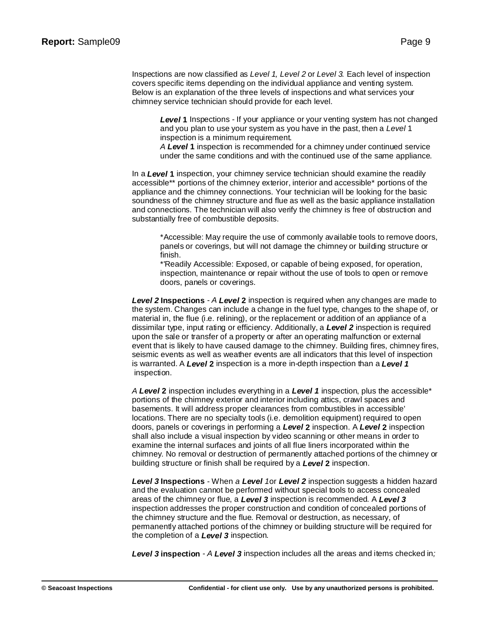Inspections are now classified as *Level 1, Level 2* or *Level 3.* Each level of inspection covers specific items depending on the individual appliance and venting system. Below is an explanation of the three levels of inspections and what services your chimney service technician should provide for each level.

*Level* **1** Inspections - If your appliance or your venting system has not changed and you plan to use your system as you have in the past, then a *Level* 1 inspection is a minimum requirement.

*A Level* **1** inspection is recommended for a chimney under continued service under the same conditions and with the continued use of the same appliance.

In a *Level* **1** inspection, your chimney service technician should examine the readily accessible\*\* portions of the chimney exterior, interior and accessible\* portions of the appliance and the chimney connections. Your technician will be looking for the basic soundness of the chimney structure and flue as well as the basic appliance installation and connections. The technician will also verify the chimney is free of obstruction and substantially free of combustible deposits.

\*Accessible: May require the use of commonly available tools to remove doors, panels or coverings, but will not damage the chimney or building structure or finish.

\*'Readily Accessible: Exposed, or capable of being exposed, for operation, inspection, maintenance or repair without the use of tools to open or remove doors, panels or coverings.

*Level 2* **Inspections** - *A Level* **2** inspection is required when any changes are made to the system. Changes can include a change in the fuel type, changes to the shape of, or material in, the flue (i.e. relining), or the replacement or addition of an appliance of a dissimilar type, input rating or efficiency. Additionally, a *Level 2* inspection is required upon the sale or transfer of a property or after an operating malfunction or external event that is likely to have caused damage to the chimney. Building fires, chimney fires, seismic events as well as weather events are all indicators that this level of inspection is warranted. A *Level* **2** inspection is a more in-depth inspection than a *Level 1* inspection.

*A Level* **2** inspection includes everything in a *Level 1* inspection, plus the accessible\* portions of the chimney exterior and interior including attics, crawl spaces and basements. It will address proper clearances from combustibles in accessible' locations. There are no specialty tools (i.e. demolition equipment) required to open doors, panels or coverings in performing a *Level* **2** inspection. A *Level* **2** inspection shall also include a visual inspection by video scanning or other means in order to examine the internal surfaces and joints of all flue liners incorporated within the chimney. No removal or destruction of permanently attached portions of the chimney or building structure or finish shall be required by a *Level* **2** inspection.

*Level 3* **Inspections** - When *a Level 1*or *Level 2* inspection suggests a hidden hazard and the evaluation cannot be performed without special tools to access concealed areas of the chimney or flue, a *Level 3* inspection is recommended. A *Level 3* inspection addresses the proper construction and condition of concealed portions of the chimney structure and the flue. Removal or destruction, as necessary, of permanently attached portions of the chimney or building structure will be required for the completion of a *Level 3* inspection.

*Level 3* **inspection** - *A Level 3* inspection includes all the areas and items checked in*;*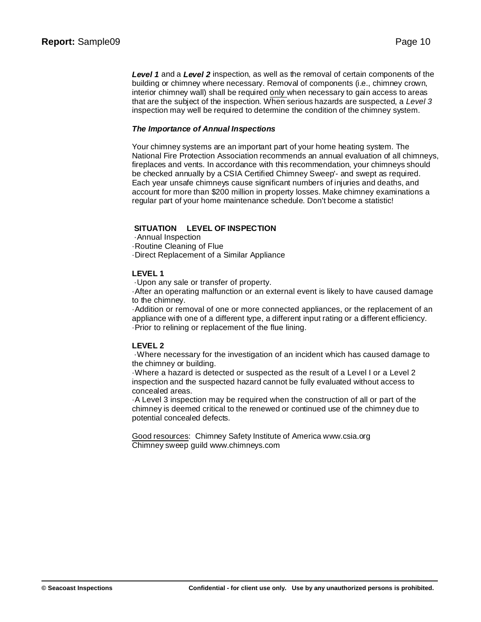*Level 1* and a *Level 2* inspection, as well as the removal of certain components of the building or chimney where necessary. Removal of components (i.e., chimney crown, interior chimney wall) shall be required only when necessary to gain access to areas that are the subject of the inspection. When serious hazards are suspected, a *Level 3* inspection may well be required to determine the condition of the chimney system.

#### *The Importance of Annual Inspections*

Your chimney systems are an important part of your home heating system. The National Fire Protection Association recommends an annual evaluation of all chimneys, fireplaces and vents. In accordance with this recommendation, your chimneys should be checked annually by a CSIA Certified Chimney Sweep'- and swept as required. Each year unsafe chimneys cause significant numbers of injuries and deaths, and account for more than \$200 million in property losses. Make chimney examinations a regular part of your home maintenance schedule. Don't become a statistic!

#### **SITUATION LEVEL OF INSPECTION**

·Annual Inspection ·Routine Cleaning of Flue

·Direct Replacement of a Similar Appliance

#### **LEVEL 1**

·Upon any sale or transfer of property.

·After an operating malfunction or an external event is likely to have caused damage to the chimney.

·Addition or removal of one or more connected appliances, or the replacement of an appliance with one of a different type, a different input rating or a different efficiency. ·Prior to relining or replacement of the flue lining.

#### **LEVEL 2**

·Where necessary for the investigation of an incident which has caused damage to the chimney or building.

·Where a hazard is detected or suspected as the result of a Level I or a Level 2 inspection and the suspected hazard cannot be fully evaluated without access to concealed areas.

·A Level 3 inspection may be required when the construction of all or part of the chimney is deemed critical to the renewed or continued use of the chimney due to potential concealed defects.

Good resources: Chimney Safety Institute of America w[ww.csia.org](www.csia.org) Chimney sweep guild w[ww.chimneys.com](www.chimneys.com)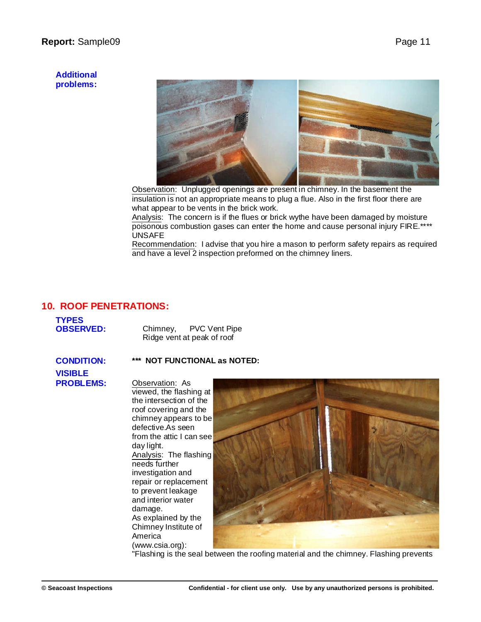## **Report:** Sample09 **Page 11**

#### **Additional problems:**



Observation: Unplugged openings are present in chimney. In the basement the insulation is not an appropriate means to plug a flue. Also in the first floor there are what appear to be vents in the brick work.

Analysis: The concern is if the flues or brick wythe have been damaged by moisture poisonous combustion gases can enter the home and cause personal injury FIRE.\*\*\*\* UNSAFE

Recommendation: I advise that you hire a mason to perform safety repairs as required and have a level 2 inspection preformed on the chimney liners.

# **10. ROOF PENETRATIONS:**

| <b>TYPES</b>     |                            |                      |
|------------------|----------------------------|----------------------|
| <b>OBSERVED:</b> | Chimney,                   | <b>PVC Vent Pipe</b> |
|                  | Ridge vent at peak of roof |                      |

#### **CONDITION: \*\*\* NOT FUNCTIONAL as NOTED:**

**VISIBLE**

**PROBLEMS:** Observation: As viewed, the flashing at the intersection of the roof covering and the chimney appears to be defective.As seen from the attic I can see day light. Analysis: The flashing needs further investigation and repair or replacement to prevent leakage and interior water damage. As explained by the Chimney Institute of America (w[ww.csia.org\):](www.csia.org):)



"Flashing is the seal between the roofing material and the chimney. Flashing prevents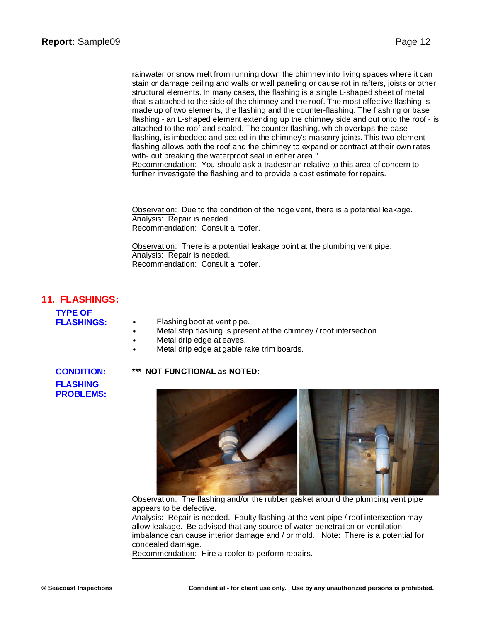rainwater or snow melt from running down the chimney into living spaces where it can stain or damage ceiling and walls or wall paneling or cause rot in rafters, joists or other structural elements. In many cases, the flashing is a single L-shaped sheet of metal that is attached to the side of the chimney and the roof. The most effective flashing is made up of two elements, the flashing and the counter-flashing. The flashing or base flashing - an L-shaped element extending up the chimney side and out onto the roof - is attached to the roof and sealed. The counter flashing, which overlaps the base flashing, is imbedded and sealed in the chimney's masonry joints. This two-element flashing allows both the roof and the chimney to expand or contract at their own rates with- out breaking the waterproof seal in either area."

Recommendation: You should ask a tradesman relative to this area of concern to further investigate the flashing and to provide a cost estimate for repairs.

Observation: Due to the condition of the ridge vent, there is a potential leakage. Analysis: Repair is needed. Recommendation: Consult a roofer.

Observation: There is a potential leakage point at the plumbing vent pipe. Analysis: Repair is needed. Recommendation: Consult a roofer.

# **11. FLASHINGS:**

**TYPE OF**

- Flashing boot at vent pipe.
- Metal step flashing is present at the chimney / roof intersection.
- Metal drip edge at eaves.
- Metal drip edge at gable rake trim boards.

**FLASHING PROBLEMS:**

#### **CONDITION: \*\*\* NOT FUNCTIONAL as NOTED:**



Observation: The flashing and/or the rubber gasket around the plumbing vent pipe appears to be defective.

Analysis: Repair is needed. Faulty flashing at the vent pipe / roof intersection may allow leakage. Be advised that any source of water penetration or ventilation imbalance can cause interior damage and / or mold. Note: There is a potential for concealed damage.

Recommendation: Hire a roofer to perform repairs.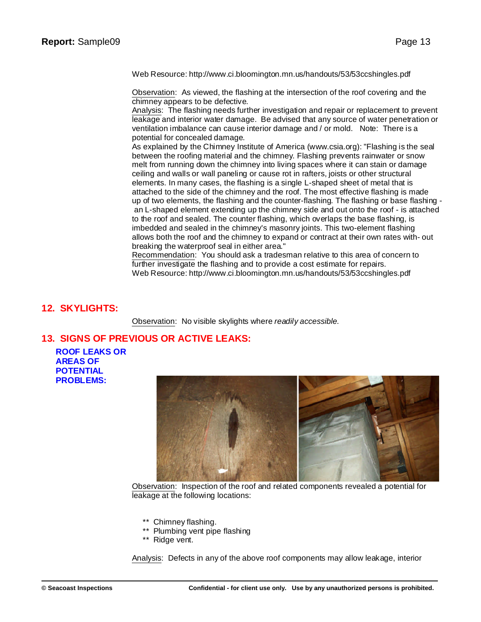Web Resource: [http://w](http://www.ci.bloomington.mn.us/handouts/53/53ccshingles.pdf)[ww.ci.bloomington.mn.us/handouts/53/53ccshingles.pdf](www.ci.bloomington.mn.us/handouts/53/53ccshingles.pdf)

Observation: As viewed, the flashing at the intersection of the roof covering and the chimney appears to be defective.

Analysis: The flashing needs further investigation and repair or replacement to prevent leakage and interior water damage. Be advised that any source of water penetration or ventilation imbalance can cause interior damage and / or mold. Note: There is a potential for concealed damage.

As explained by the Chimney Institute of America ([www.csia.org\):](www.csia.org):) "Flashing is the seal between the roofing material and the chimney. Flashing prevents rainwater or snow melt from running down the chimney into living spaces where it can stain or damage ceiling and walls or wall paneling or cause rot in rafters, joists or other structural elements. In many cases, the flashing is a single L-shaped sheet of metal that is attached to the side of the chimney and the roof. The most effective flashing is made up of two elements, the flashing and the counter-flashing. The flashing or base flashing an L-shaped element extending up the chimney side and out onto the roof - is attached to the roof and sealed. The counter flashing, which overlaps the base flashing, is imbedded and sealed in the chimney's masonry joints. This two-element flashing allows both the roof and the chimney to expand or contract at their own rates with- out breaking the waterproof seal in either area."

Recommendation: You should ask a tradesman relative to this area of concern to further investigate the flashing and to provide a cost estimate for repairs. Web Resource: [http://w](http://www.ci.bloomington.mn.us/handouts/53/53ccshingles.pdf)[ww.ci.bloomington.mn.us/handouts/53/53ccshingles.pdf](www.ci.bloomington.mn.us/handouts/53/53ccshingles.pdf)

## **12. SKYLIGHTS:**

Observation: No visible skylights where *readily accessible.*

# **13. SIGNS OF PREVIOUS OR ACTIVE LEAKS:**

**ROOF LEAKS OR AREAS OF POTENTIAL PROBLEMS:**



Observation: Inspection of the roof and related components revealed a potential for leakage at the following locations:

- \*\* Chimney flashing.
- \*\* Plumbing vent pipe flashing
- \*\* Ridge vent.

Analysis: Defects in any of the above roof components may allow leakage, interior